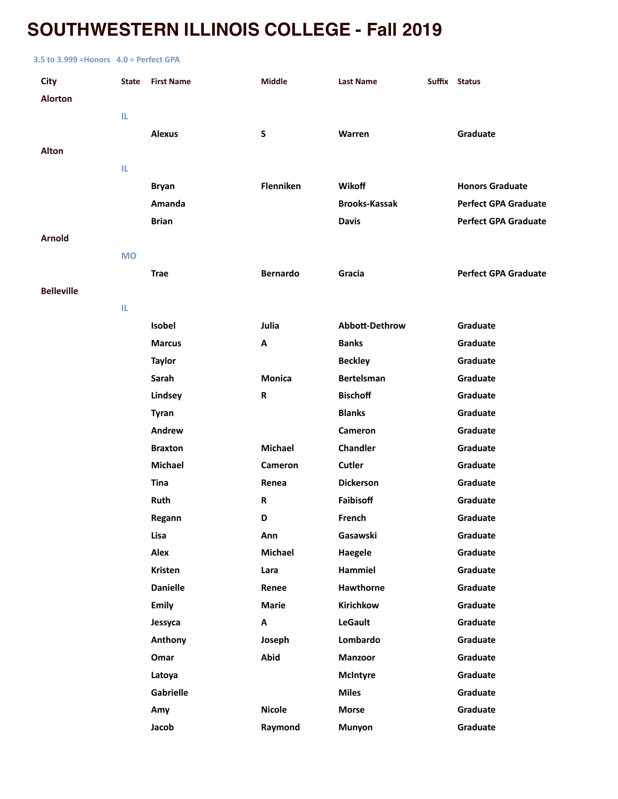# **SOUTHWESTERN ILLINOIS COLLEGE - Fall 2019**

#### **3.5 to 3.999 =Honors 4.0 = Perfect GPA**

| City              | <b>State</b> | <b>First Name</b> | Middle          | <b>Last Name</b>     | Suffix Status               |
|-------------------|--------------|-------------------|-----------------|----------------------|-----------------------------|
| <b>Alorton</b>    |              |                   |                 |                      |                             |
|                   | IL.          |                   |                 |                      |                             |
|                   |              | <b>Alexus</b>     | S               | Warren               | Graduate                    |
| <b>Alton</b>      |              |                   |                 |                      |                             |
|                   | IL           |                   |                 |                      |                             |
|                   |              | <b>Bryan</b>      | Flenniken       | Wikoff               | <b>Honors Graduate</b>      |
|                   |              | Amanda            |                 | <b>Brooks-Kassak</b> | <b>Perfect GPA Graduate</b> |
|                   |              | <b>Brian</b>      |                 | <b>Davis</b>         | <b>Perfect GPA Graduate</b> |
| Arnold            |              |                   |                 |                      |                             |
|                   | <b>MO</b>    |                   |                 |                      |                             |
|                   |              | <b>Trae</b>       | <b>Bernardo</b> | Gracia               | <b>Perfect GPA Graduate</b> |
| <b>Belleville</b> |              |                   |                 |                      |                             |
|                   | IL.          |                   |                 |                      |                             |
|                   |              | Isobel            | Julia           | Abbott-Dethrow       | Graduate                    |
|                   |              | <b>Marcus</b>     | Α               | <b>Banks</b>         | Graduate                    |
|                   |              | <b>Taylor</b>     |                 | <b>Beckley</b>       | Graduate                    |
|                   |              | Sarah             | <b>Monica</b>   | <b>Bertelsman</b>    | Graduate                    |
|                   |              | Lindsey           | $\mathsf{R}$    | <b>Bischoff</b>      | Graduate                    |
|                   |              | <b>Tyran</b>      |                 | <b>Blanks</b>        | Graduate                    |
|                   |              | Andrew            |                 | Cameron              | Graduate                    |
|                   |              | <b>Braxton</b>    | <b>Michael</b>  | Chandler             | Graduate                    |
|                   |              | <b>Michael</b>    | Cameron         | Cutler               | Graduate                    |
|                   |              | <b>Tina</b>       | Renea           | <b>Dickerson</b>     | Graduate                    |
|                   |              | Ruth              | R               | Faibisoff            | Graduate                    |
|                   |              | Regann            | D               | French               | Graduate                    |
|                   |              | Lisa              | Ann             | Gasawski             | Graduate                    |
|                   |              | Alex              | <b>Michael</b>  | Haegele              | Graduate                    |
|                   |              | <b>Kristen</b>    | Lara            | Hammiel              | Graduate                    |
|                   |              | <b>Danielle</b>   | Renee           | Hawthorne            | Graduate                    |
|                   |              | <b>Emily</b>      | Marie           | Kirichkow            | Graduate                    |
|                   |              | Jessyca           | Α               | <b>LeGault</b>       | Graduate                    |
|                   |              | <b>Anthony</b>    | Joseph          | Lombardo             | Graduate                    |
|                   |              | Omar              | <b>Abid</b>     | <b>Manzoor</b>       | Graduate                    |
|                   |              | Latoya            |                 | <b>McIntyre</b>      | Graduate                    |
|                   |              | Gabrielle         |                 | <b>Miles</b>         | Graduate                    |
|                   |              | Amy               | <b>Nicole</b>   | <b>Morse</b>         | Graduate                    |
|                   |              | Jacob             | Raymond         | Munyon               | Graduate                    |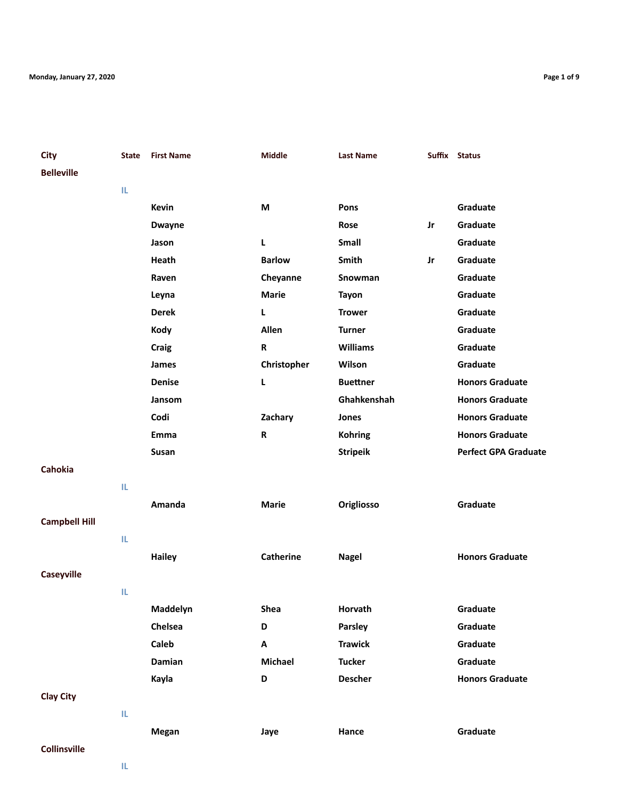| City                 | State | <b>First Name</b> | <b>Middle</b>    | <b>Last Name</b> |    | Suffix Status               |
|----------------------|-------|-------------------|------------------|------------------|----|-----------------------------|
| <b>Belleville</b>    |       |                   |                  |                  |    |                             |
|                      | IL.   |                   |                  |                  |    |                             |
|                      |       | <b>Kevin</b>      | M                | Pons             |    | Graduate                    |
|                      |       | <b>Dwayne</b>     |                  | Rose             | Jr | Graduate                    |
|                      |       | Jason             | L                | Small            |    | Graduate                    |
|                      |       | Heath             | <b>Barlow</b>    | Smith            | Jr | Graduate                    |
|                      |       | Raven             | Cheyanne         | Snowman          |    | Graduate                    |
|                      |       | Leyna             | <b>Marie</b>     | <b>Tayon</b>     |    | Graduate                    |
|                      |       | <b>Derek</b>      | L                | <b>Trower</b>    |    | Graduate                    |
|                      |       | Kody              | Allen            | <b>Turner</b>    |    | Graduate                    |
|                      |       | Craig             | R                | <b>Williams</b>  |    | Graduate                    |
|                      |       | James             | Christopher      | Wilson           |    | Graduate                    |
|                      |       | <b>Denise</b>     | L                | <b>Buettner</b>  |    | <b>Honors Graduate</b>      |
|                      |       | Jansom            |                  | Ghahkenshah      |    | <b>Honors Graduate</b>      |
|                      |       | Codi              | Zachary          | Jones            |    | <b>Honors Graduate</b>      |
|                      |       | Emma              | R                | <b>Kohring</b>   |    | <b>Honors Graduate</b>      |
|                      |       | Susan             |                  | <b>Stripeik</b>  |    | <b>Perfect GPA Graduate</b> |
| <b>Cahokia</b>       |       |                   |                  |                  |    |                             |
|                      | IL.   |                   |                  |                  |    |                             |
|                      |       | Amanda            | <b>Marie</b>     | Origliosso       |    | Graduate                    |
| <b>Campbell Hill</b> |       |                   |                  |                  |    |                             |
|                      | IL.   |                   |                  |                  |    |                             |
|                      |       | <b>Hailey</b>     | <b>Catherine</b> | <b>Nagel</b>     |    | <b>Honors Graduate</b>      |
| Caseyville           |       |                   |                  |                  |    |                             |
|                      | IL.   |                   |                  |                  |    |                             |
|                      |       | Maddelyn          | Shea             | Horvath          |    | Graduate                    |
|                      |       | Chelsea           | D                | Parsley          |    | Graduate                    |
|                      |       | Caleb             | Α                | <b>Trawick</b>   |    | Graduate                    |
|                      |       | Damian            | <b>Michael</b>   | <b>Tucker</b>    |    | Graduate                    |
|                      |       | Kayla             | D                | <b>Descher</b>   |    | <b>Honors Graduate</b>      |
|                      |       |                   |                  |                  |    |                             |

**Megan Jaye Hance Graduate**

## **Clay City**

## **Collinsville**

**IL**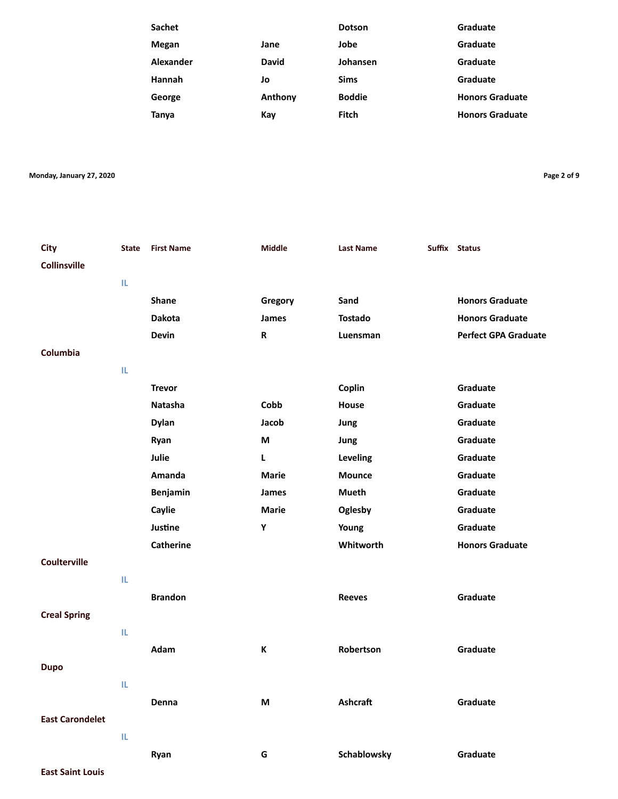| Sachet       |              | <b>Dotson</b> | Graduate               |
|--------------|--------------|---------------|------------------------|
| <b>Megan</b> | Jane         | Jobe          | Graduate               |
| Alexander    | <b>David</b> | Johansen      | Graduate               |
| Hannah       | Jo           | <b>Sims</b>   | Graduate               |
| George       | Anthony      | <b>Boddie</b> | <b>Honors Graduate</b> |
| <b>Tanya</b> | Kay          | Fitch         | <b>Honors Graduate</b> |
|              |              |               |                        |

**Monday, January 27, 2020 Page 2 of 9**

| <b>City</b><br><b>Collinsville</b> | <b>State</b> | <b>First Name</b> | <b>Middle</b> | <b>Last Name</b> | Suffix Status               |
|------------------------------------|--------------|-------------------|---------------|------------------|-----------------------------|
|                                    |              |                   |               |                  |                             |
|                                    | IL.          |                   |               |                  |                             |
|                                    |              | <b>Shane</b>      | Gregory       | Sand             | <b>Honors Graduate</b>      |
|                                    |              | <b>Dakota</b>     | James         | <b>Tostado</b>   | <b>Honors Graduate</b>      |
|                                    |              | <b>Devin</b>      | R             | Luensman         | <b>Perfect GPA Graduate</b> |
| Columbia                           |              |                   |               |                  |                             |
|                                    | IL.          |                   |               |                  |                             |
|                                    |              | <b>Trevor</b>     |               | Coplin           | Graduate                    |
|                                    |              | <b>Natasha</b>    | Cobb          | <b>House</b>     | Graduate                    |
|                                    |              | <b>Dylan</b>      | Jacob         | Jung             | Graduate                    |
|                                    |              | Ryan              | M             | Jung             | Graduate                    |
|                                    |              | Julie             | $\mathbf{L}$  | Leveling         | Graduate                    |
|                                    |              | Amanda            | <b>Marie</b>  | <b>Mounce</b>    | Graduate                    |
|                                    |              | Benjamin          | James         | Mueth            | Graduate                    |
|                                    |              | Caylie            | <b>Marie</b>  | Oglesby          | Graduate                    |
|                                    |              | Justine           | Υ             | Young            | Graduate                    |
|                                    |              | <b>Catherine</b>  |               | Whitworth        | <b>Honors Graduate</b>      |
| <b>Coulterville</b>                |              |                   |               |                  |                             |
|                                    | IL.          |                   |               |                  |                             |
|                                    |              | <b>Brandon</b>    |               | <b>Reeves</b>    | Graduate                    |
| <b>Creal Spring</b>                |              |                   |               |                  |                             |
|                                    | IL.          |                   |               |                  |                             |
|                                    |              | Adam              | $\mathbf K$   | Robertson        | Graduate                    |
| <b>Dupo</b>                        |              |                   |               |                  |                             |
|                                    | IL.          |                   |               |                  |                             |
|                                    |              |                   |               | <b>Ashcraft</b>  | Graduate                    |
|                                    |              | Denna             | M             |                  |                             |
| <b>East Carondelet</b>             |              |                   |               |                  |                             |
|                                    | IL.          |                   |               |                  |                             |
|                                    |              | Ryan              | G             | Schablowsky      | Graduate                    |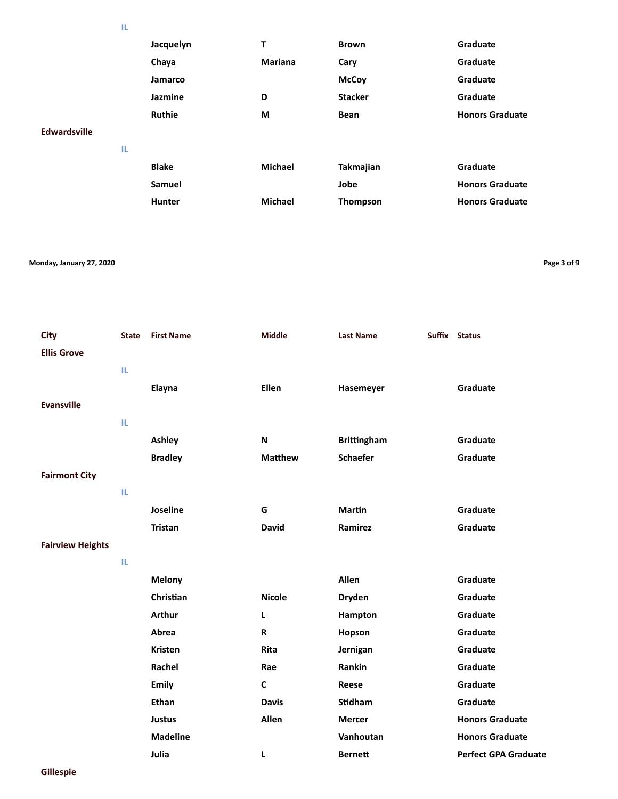|  | m. |  |
|--|----|--|
|  | ۰  |  |
|  |    |  |

|                     |     | Jacquelyn     | т              | <b>Brown</b>   | Graduate               |
|---------------------|-----|---------------|----------------|----------------|------------------------|
|                     |     | Chaya         | <b>Mariana</b> | Cary           | Graduate               |
|                     |     | Jamarco       |                | <b>McCoy</b>   | Graduate               |
|                     |     | Jazmine       | D              | <b>Stacker</b> | Graduate               |
|                     |     | <b>Ruthie</b> | M              | <b>Bean</b>    | <b>Honors Graduate</b> |
| <b>Edwardsville</b> |     |               |                |                |                        |
|                     | IL. |               |                |                |                        |
|                     |     | <b>Blake</b>  | <b>Michael</b> | Takmajian      | Graduate               |
|                     |     | Samuel        |                | Jobe           | <b>Honors Graduate</b> |
|                     |     | <b>Hunter</b> | <b>Michael</b> | Thompson       | <b>Honors Graduate</b> |
|                     |     |               |                |                |                        |

#### **Monday, January 27, 2020 Page 3 of 9**

| <b>City</b><br><b>Ellis Grove</b> | <b>State</b> | <b>First Name</b> | <b>Middle</b>  | <b>Last Name</b>   | Suffix Status               |
|-----------------------------------|--------------|-------------------|----------------|--------------------|-----------------------------|
|                                   | IL.          |                   |                |                    |                             |
|                                   |              | Elayna            | <b>Ellen</b>   | Hasemeyer          | Graduate                    |
| <b>Evansville</b>                 |              |                   |                |                    |                             |
|                                   | IL.          |                   |                |                    |                             |
|                                   |              | Ashley            | N              | <b>Brittingham</b> | Graduate                    |
|                                   |              | <b>Bradley</b>    | <b>Matthew</b> | <b>Schaefer</b>    | Graduate                    |
| <b>Fairmont City</b>              |              |                   |                |                    |                             |
|                                   | IL.          |                   |                |                    |                             |
|                                   |              | Joseline          | G              | <b>Martin</b>      | Graduate                    |
|                                   |              | <b>Tristan</b>    | <b>David</b>   | Ramirez            | Graduate                    |
| <b>Fairview Heights</b>           |              |                   |                |                    |                             |
|                                   | IL.          |                   |                |                    |                             |
|                                   |              | <b>Melony</b>     |                | Allen              | Graduate                    |
|                                   |              | Christian         | <b>Nicole</b>  | <b>Dryden</b>      | Graduate                    |
|                                   |              | <b>Arthur</b>     | Г              | Hampton            | Graduate                    |
|                                   |              | Abrea             | $\mathsf{R}$   | Hopson             | Graduate                    |
|                                   |              | <b>Kristen</b>    | <b>Rita</b>    | Jernigan           | Graduate                    |
|                                   |              | Rachel            | Rae            | Rankin             | Graduate                    |
|                                   |              | Emily             | C              | Reese              | Graduate                    |
|                                   |              | Ethan             | <b>Davis</b>   | <b>Stidham</b>     | Graduate                    |
|                                   |              | <b>Justus</b>     | Allen          | <b>Mercer</b>      | <b>Honors Graduate</b>      |
|                                   |              | <b>Madeline</b>   |                | Vanhoutan          | <b>Honors Graduate</b>      |
|                                   |              | Julia             | L              | <b>Bernett</b>     | <b>Perfect GPA Graduate</b> |

**Gillespie**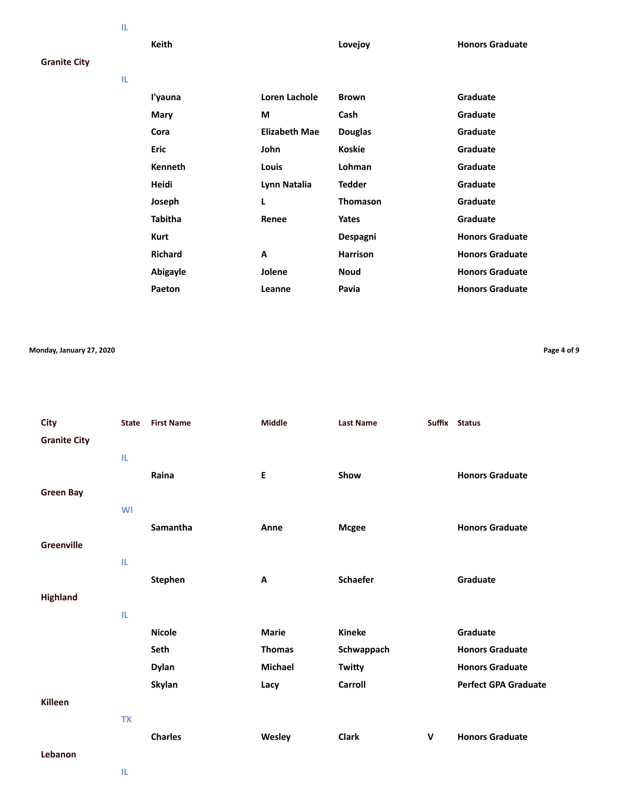**IL**

**Keith Lovejoy Honors Graduate**

### **Granite City**

| I'yauna        | Loren Lachole        | <b>Brown</b>    | Graduate               |
|----------------|----------------------|-----------------|------------------------|
| Mary           | М                    | Cash            | Graduate               |
| Cora           | <b>Elizabeth Mae</b> | <b>Douglas</b>  | Graduate               |
| Eric           | John                 | <b>Koskie</b>   | Graduate               |
| <b>Kenneth</b> | Louis                | Lohman          | Graduate               |
| Heidi          | Lynn Natalia         | <b>Tedder</b>   | Graduate               |
| Joseph         | L                    | <b>Thomason</b> | Graduate               |
| <b>Tabitha</b> | Renee                | Yates           | Graduate               |
| <b>Kurt</b>    |                      | Despagni        | <b>Honors Graduate</b> |
| <b>Richard</b> | A                    | <b>Harrison</b> | <b>Honors Graduate</b> |
| Abigayle       | Jolene               | <b>Noud</b>     | <b>Honors Graduate</b> |
| Paeton         | Leanne               | Pavia           | <b>Honors Graduate</b> |
|                |                      |                 |                        |

**Monday, January 27, 2020 Page 4 of 9**

**City State First Name Middle Last Name Suffix Status Granite City IL Raina E Show Honors Graduate Green Bay WI Samantha Anne Mcgee Honors Graduate Greenville IL Stephen A Schaefer Graduate Highland IL Nicole Marie Kineke Graduate Seth Thomas Schwappach Honors Graduate Dylan Michael Twitty Honors Graduate Skylan Lacy Carroll Perfect GPA Graduate Killeen TX Charles Wesley Clark V Honors Graduate Lebanon**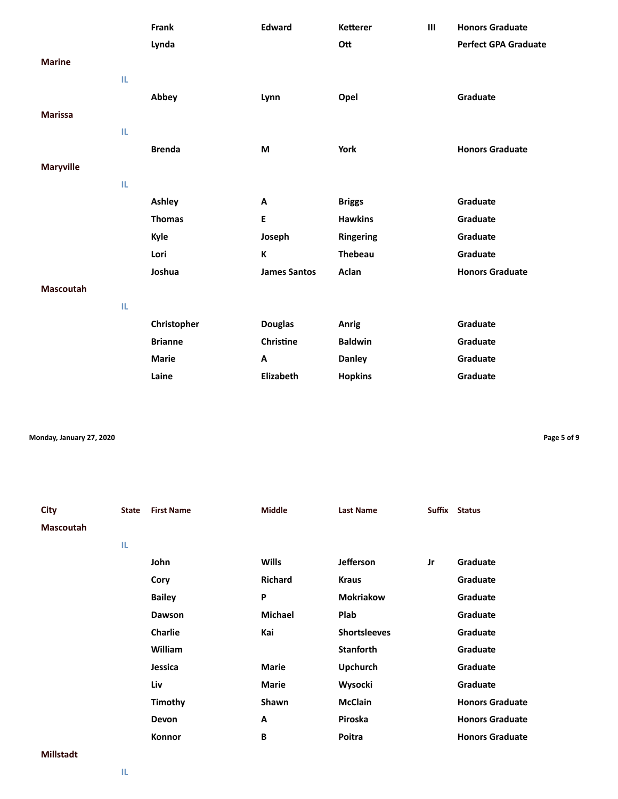|                  |     | Frank          | <b>Edward</b>       | <b>Ketterer</b>  | Ш | <b>Honors Graduate</b>      |
|------------------|-----|----------------|---------------------|------------------|---|-----------------------------|
|                  |     | Lynda          |                     | Ott              |   | <b>Perfect GPA Graduate</b> |
| <b>Marine</b>    |     |                |                     |                  |   |                             |
|                  | IL. |                |                     |                  |   |                             |
|                  |     | Abbey          | Lynn                | Opel             |   | Graduate                    |
| <b>Marissa</b>   |     |                |                     |                  |   |                             |
|                  | IL. |                |                     |                  |   |                             |
|                  |     | <b>Brenda</b>  | M                   | York             |   | <b>Honors Graduate</b>      |
| <b>Maryville</b> |     |                |                     |                  |   |                             |
|                  | IL. |                |                     |                  |   |                             |
|                  |     | Ashley         | Α                   | <b>Briggs</b>    |   | Graduate                    |
|                  |     | <b>Thomas</b>  | $\mathsf E$         | <b>Hawkins</b>   |   | Graduate                    |
|                  |     | Kyle           | Joseph              | <b>Ringering</b> |   | Graduate                    |
|                  |     | Lori           | К                   | <b>Thebeau</b>   |   | Graduate                    |
|                  |     | Joshua         | <b>James Santos</b> | Aclan            |   | <b>Honors Graduate</b>      |
| <b>Mascoutah</b> |     |                |                     |                  |   |                             |
|                  | IL. |                |                     |                  |   |                             |
|                  |     | Christopher    | <b>Douglas</b>      | Anrig            |   | Graduate                    |
|                  |     | <b>Brianne</b> | Christine           | <b>Baldwin</b>   |   | Graduate                    |
|                  |     | <b>Marie</b>   | A                   | <b>Danley</b>    |   | Graduate                    |
|                  |     | Laine          | Elizabeth           | <b>Hopkins</b>   |   | Graduate                    |

**Monday, January 27, 2020 Page 5 of 9**

| City             | <b>State</b> | <b>First Name</b> | <b>Middle</b>  | <b>Last Name</b>    | Suffix | <b>Status</b>          |
|------------------|--------------|-------------------|----------------|---------------------|--------|------------------------|
| <b>Mascoutah</b> |              |                   |                |                     |        |                        |
|                  | TL.          |                   |                |                     |        |                        |
|                  |              | John              | <b>Wills</b>   | <b>Jefferson</b>    | Jr     | Graduate               |
|                  |              | Cory              | <b>Richard</b> | <b>Kraus</b>        |        | Graduate               |
|                  |              | <b>Bailey</b>     | P              | <b>Mokriakow</b>    |        | Graduate               |
|                  |              | Dawson            | <b>Michael</b> | Plab                |        | Graduate               |
|                  |              | Charlie           | Kai            | <b>Shortsleeves</b> |        | <b>Graduate</b>        |
|                  |              | William           |                | <b>Stanforth</b>    |        | Graduate               |
|                  |              | Jessica           | <b>Marie</b>   | <b>Upchurch</b>     |        | Graduate               |
|                  |              | Liv               | <b>Marie</b>   | Wysocki             |        | Graduate               |
|                  |              | Timothy           | Shawn          | <b>McClain</b>      |        | <b>Honors Graduate</b> |
|                  |              | Devon             | A              | Piroska             |        | <b>Honors Graduate</b> |
|                  |              | Konnor            | B              | Poitra              |        | <b>Honors Graduate</b> |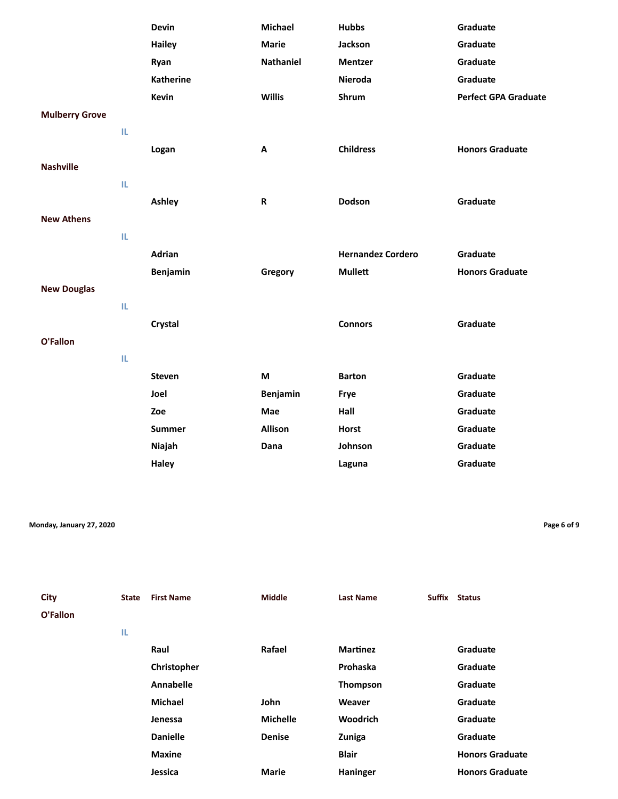|                       |     | <b>Devin</b>     | <b>Michael</b>   | <b>Hubbs</b>             | Graduate                    |
|-----------------------|-----|------------------|------------------|--------------------------|-----------------------------|
|                       |     | <b>Hailey</b>    | <b>Marie</b>     | Jackson                  | Graduate                    |
|                       |     | Ryan             | <b>Nathaniel</b> | <b>Mentzer</b>           | Graduate                    |
|                       |     | <b>Katherine</b> |                  | Nieroda                  | Graduate                    |
|                       |     | <b>Kevin</b>     | <b>Willis</b>    | Shrum                    | <b>Perfect GPA Graduate</b> |
| <b>Mulberry Grove</b> |     |                  |                  |                          |                             |
|                       | IL. |                  |                  |                          |                             |
|                       |     | Logan            | Α                | <b>Childress</b>         | <b>Honors Graduate</b>      |
| <b>Nashville</b>      |     |                  |                  |                          |                             |
|                       | IL. |                  |                  |                          |                             |
|                       |     | Ashley           | ${\sf R}$        | Dodson                   | Graduate                    |
| <b>New Athens</b>     |     |                  |                  |                          |                             |
|                       | IL. |                  |                  |                          |                             |
|                       |     | <b>Adrian</b>    |                  | <b>Hernandez Cordero</b> | Graduate                    |
|                       |     | Benjamin         | Gregory          | <b>Mullett</b>           | <b>Honors Graduate</b>      |
| <b>New Douglas</b>    |     |                  |                  |                          |                             |
|                       | IL. |                  |                  |                          |                             |
|                       |     | Crystal          |                  | <b>Connors</b>           | Graduate                    |
| O'Fallon              |     |                  |                  |                          |                             |
|                       | IL. |                  |                  |                          |                             |
|                       |     | <b>Steven</b>    | M                | <b>Barton</b>            | Graduate                    |
|                       |     | Joel             | Benjamin         | Frye                     | Graduate                    |
|                       |     | Zoe              | Mae              | Hall                     | Graduate                    |
|                       |     | <b>Summer</b>    | Allison          | <b>Horst</b>             | Graduate                    |
|                       |     |                  | Dana             |                          |                             |
|                       |     | Niajah           |                  | Johnson                  | Graduate                    |

**Monday, January 27, 2020 Page 6 of 9**

| City<br>O'Fallon | <b>State</b> | <b>First Name</b> | <b>Middle</b>   | <b>Last Name</b> | <b>Suffix</b> | <b>Status</b>          |
|------------------|--------------|-------------------|-----------------|------------------|---------------|------------------------|
|                  | IL.          |                   |                 |                  |               |                        |
|                  |              | Raul              | Rafael          | <b>Martinez</b>  |               | Graduate               |
|                  |              | Christopher       |                 | Prohaska         |               | Graduate               |
|                  |              | <b>Annabelle</b>  |                 | Thompson         |               | Graduate               |
|                  |              | <b>Michael</b>    | John            | Weaver           |               | Graduate               |
|                  |              | Jenessa           | <b>Michelle</b> | <b>Woodrich</b>  |               | Graduate               |
|                  |              | <b>Danielle</b>   | <b>Denise</b>   | Zuniga           |               | Graduate               |
|                  |              | <b>Maxine</b>     |                 | <b>Blair</b>     |               | <b>Honors Graduate</b> |
|                  |              | Jessica           | <b>Marie</b>    | Haninger         |               | <b>Honors Graduate</b> |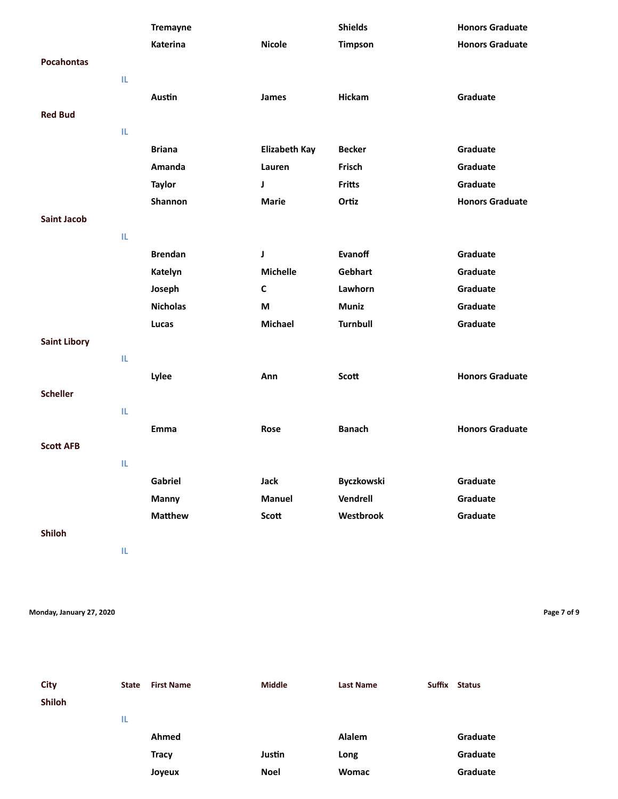|                     |     | <b>Tremayne</b> |                      | <b>Shields</b>    | <b>Honors Graduate</b> |
|---------------------|-----|-----------------|----------------------|-------------------|------------------------|
|                     |     | <b>Katerina</b> | <b>Nicole</b>        | <b>Timpson</b>    | <b>Honors Graduate</b> |
| <b>Pocahontas</b>   |     |                 |                      |                   |                        |
|                     | IL. |                 |                      |                   |                        |
|                     |     | Austin          | James                | Hickam            | Graduate               |
| <b>Red Bud</b>      |     |                 |                      |                   |                        |
|                     | IL. |                 |                      |                   |                        |
|                     |     | <b>Briana</b>   | <b>Elizabeth Kay</b> | <b>Becker</b>     | Graduate               |
|                     |     | Amanda          | Lauren               | Frisch            | Graduate               |
|                     |     | <b>Taylor</b>   | J                    | <b>Fritts</b>     | Graduate               |
|                     |     | Shannon         | <b>Marie</b>         | Ortiz             | <b>Honors Graduate</b> |
| <b>Saint Jacob</b>  |     |                 |                      |                   |                        |
|                     | IL. |                 |                      |                   |                        |
|                     |     | <b>Brendan</b>  | J                    | Evanoff           | Graduate               |
|                     |     | Katelyn         | <b>Michelle</b>      | Gebhart           | Graduate               |
|                     |     | Joseph          | $\mathsf{C}$         | Lawhorn           | Graduate               |
|                     |     | <b>Nicholas</b> | M                    | <b>Muniz</b>      | Graduate               |
|                     |     | Lucas           | Michael              | Turnbull          | Graduate               |
| <b>Saint Libory</b> |     |                 |                      |                   |                        |
|                     | IL. |                 |                      |                   |                        |
|                     |     | Lylee           | Ann                  | Scott             | <b>Honors Graduate</b> |
| <b>Scheller</b>     |     |                 |                      |                   |                        |
|                     | IL. |                 |                      |                   |                        |
|                     |     | Emma            | Rose                 | <b>Banach</b>     | <b>Honors Graduate</b> |
| <b>Scott AFB</b>    |     |                 |                      |                   |                        |
|                     | IL. |                 |                      |                   |                        |
|                     |     | Gabriel         | Jack                 | <b>Byczkowski</b> | Graduate               |
|                     |     | Manny           | <b>Manuel</b>        | Vendrell          | Graduate               |
|                     |     | <b>Matthew</b>  | Scott                | Westbrook         | Graduate               |
| Shiloh              |     |                 |                      |                   |                        |
|                     | IL. |                 |                      |                   |                        |

**Monday, January 27, 2020 Page 7 of 9**

**City State First Name Middle Last Name Suffix Status Shiloh IL Ahmed Alalem Graduate Tracy Constant Constant Long Canadiate Graduate Joyeux Noel Womac Graduate**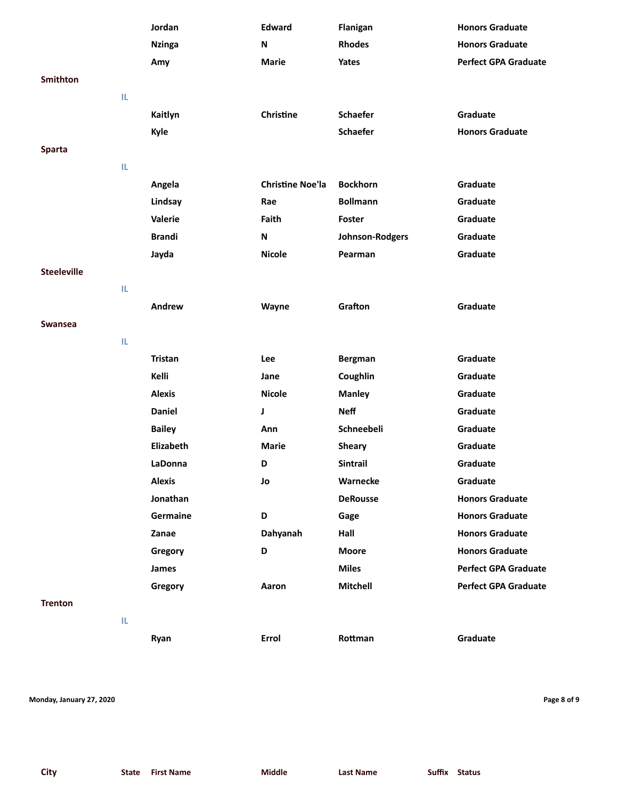|                    |     | Jordan         | <b>Edward</b>           | Flanigan        | <b>Honors Graduate</b>      |
|--------------------|-----|----------------|-------------------------|-----------------|-----------------------------|
|                    |     | <b>Nzinga</b>  | N                       | <b>Rhodes</b>   | <b>Honors Graduate</b>      |
|                    |     | Amy            | <b>Marie</b>            | Yates           | <b>Perfect GPA Graduate</b> |
| <b>Smithton</b>    |     |                |                         |                 |                             |
|                    | IL. |                |                         |                 |                             |
|                    |     | Kaitlyn        | Christine               | <b>Schaefer</b> | Graduate                    |
|                    |     | Kyle           |                         | <b>Schaefer</b> | <b>Honors Graduate</b>      |
| <b>Sparta</b>      |     |                |                         |                 |                             |
|                    | IL. |                |                         |                 |                             |
|                    |     | Angela         | <b>Christine Noe'la</b> | <b>Bockhorn</b> | Graduate                    |
|                    |     | Lindsay        | Rae                     | <b>Bollmann</b> | Graduate                    |
|                    |     | Valerie        | Faith                   | Foster          | Graduate                    |
|                    |     | <b>Brandi</b>  | N                       | Johnson-Rodgers | Graduate                    |
|                    |     | Jayda          | <b>Nicole</b>           | Pearman         | Graduate                    |
| <b>Steeleville</b> |     |                |                         |                 |                             |
|                    | IL. |                |                         |                 |                             |
|                    |     | Andrew         | Wayne                   | Grafton         | Graduate                    |
| Swansea            |     |                |                         |                 |                             |
|                    | IL. |                |                         |                 |                             |
|                    |     | <b>Tristan</b> | Lee                     | <b>Bergman</b>  | Graduate                    |
|                    |     | Kelli          | Jane                    | Coughlin        | Graduate                    |
|                    |     | <b>Alexis</b>  | <b>Nicole</b>           | <b>Manley</b>   | Graduate                    |
|                    |     | <b>Daniel</b>  | J                       | <b>Neff</b>     | Graduate                    |
|                    |     | <b>Bailey</b>  | Ann                     | Schneebeli      | Graduate                    |
|                    |     | Elizabeth      | <b>Marie</b>            | <b>Sheary</b>   | Graduate                    |
|                    |     | LaDonna        | D                       | <b>Sintrail</b> | Graduate                    |
|                    |     | <b>Alexis</b>  | Jo                      | Warnecke        | Graduate                    |
|                    |     | Jonathan       |                         | <b>DeRousse</b> | <b>Honors Graduate</b>      |
|                    |     | Germaine       | D                       | Gage            | <b>Honors Graduate</b>      |
|                    |     | Zanae          | Dahyanah                | Hall            | <b>Honors Graduate</b>      |
|                    |     | Gregory        | D                       | <b>Moore</b>    | <b>Honors Graduate</b>      |
|                    |     | <b>James</b>   |                         | <b>Miles</b>    | <b>Perfect GPA Graduate</b> |
|                    |     | Gregory        | Aaron                   | Mitchell        | <b>Perfect GPA Graduate</b> |
| <b>Trenton</b>     |     |                |                         |                 |                             |
|                    | IL. |                |                         |                 |                             |
|                    |     | Ryan           | Errol                   | Rottman         | Graduate                    |
|                    |     |                |                         |                 |                             |

**Monday, January 27, 2020 Page 8 of 9**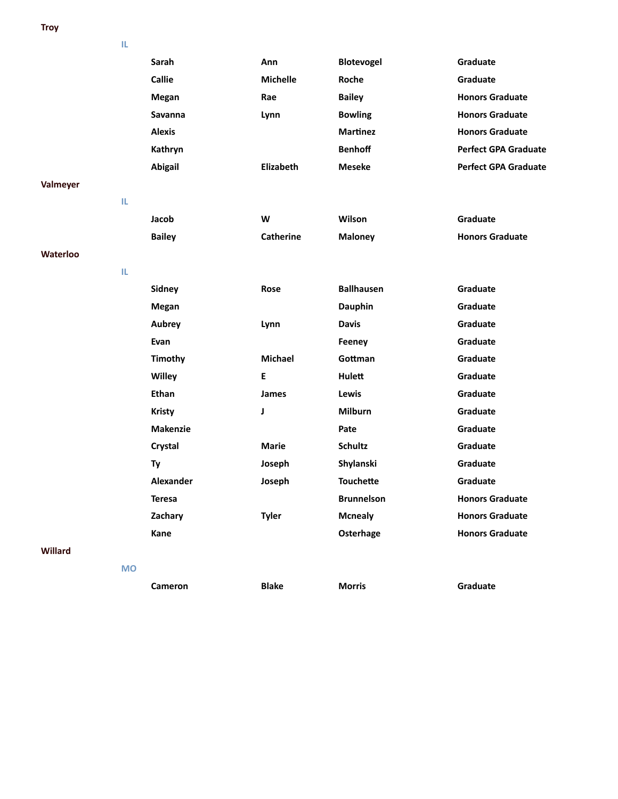**Troy**

**IL**

|          | ш         |                  |                  |                   |                             |
|----------|-----------|------------------|------------------|-------------------|-----------------------------|
|          |           | Sarah            | Ann              | <b>Blotevogel</b> | Graduate                    |
|          |           | <b>Callie</b>    | <b>Michelle</b>  | Roche             | Graduate                    |
|          |           | Megan            | Rae              | <b>Bailey</b>     | <b>Honors Graduate</b>      |
|          |           | <b>Savanna</b>   | Lynn             | <b>Bowling</b>    | <b>Honors Graduate</b>      |
|          |           | <b>Alexis</b>    |                  | <b>Martinez</b>   | <b>Honors Graduate</b>      |
|          |           | Kathryn          |                  | <b>Benhoff</b>    | <b>Perfect GPA Graduate</b> |
|          |           | <b>Abigail</b>   | Elizabeth        | <b>Meseke</b>     | <b>Perfect GPA Graduate</b> |
| Valmeyer |           |                  |                  |                   |                             |
|          | IL.       |                  |                  |                   |                             |
|          |           | Jacob            | W                | Wilson            | Graduate                    |
|          |           | <b>Bailey</b>    | <b>Catherine</b> | <b>Maloney</b>    | <b>Honors Graduate</b>      |
| Waterloo |           |                  |                  |                   |                             |
|          | IL.       |                  |                  |                   |                             |
|          |           | Sidney           | Rose             | <b>Ballhausen</b> | Graduate                    |
|          |           | Megan            |                  | <b>Dauphin</b>    | Graduate                    |
|          |           | <b>Aubrey</b>    | Lynn             | <b>Davis</b>      | Graduate                    |
|          |           | Evan             |                  | Feeney            | Graduate                    |
|          |           | Timothy          | Michael          | Gottman           | Graduate                    |
|          |           | Willey           | E                | Hulett            | Graduate                    |
|          |           | <b>Ethan</b>     | James            | Lewis             | Graduate                    |
|          |           | <b>Kristy</b>    | J                | <b>Milburn</b>    | Graduate                    |
|          |           | <b>Makenzie</b>  |                  | Pate              | Graduate                    |
|          |           | Crystal          | <b>Marie</b>     | <b>Schultz</b>    | Graduate                    |
|          |           | Ty               | Joseph           | Shylanski         | Graduate                    |
|          |           | <b>Alexander</b> | Joseph           | <b>Touchette</b>  | Graduate                    |
|          |           | <b>Teresa</b>    |                  | <b>Brunnelson</b> | <b>Honors Graduate</b>      |
|          |           | Zachary          | <b>Tyler</b>     | <b>Mcnealy</b>    | <b>Honors Graduate</b>      |
|          |           | Kane             |                  | Osterhage         | <b>Honors Graduate</b>      |
| Willard  |           |                  |                  |                   |                             |
|          | <b>MO</b> |                  |                  |                   |                             |
|          |           | Cameron          | <b>Blake</b>     | <b>Morris</b>     | Graduate                    |